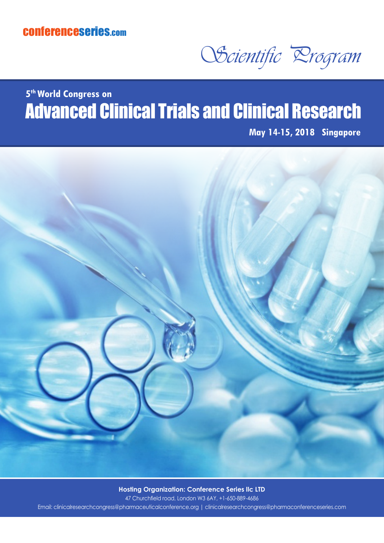## conferenceseries.com

OScientific Program

## Advanced Clinical Trials and Clinical Research **5th World Congress on**

**May 14-15, 2018 Singapore**



**Hosting Organization: Conference Series IIc LTD** 

47 Churchfield road, London W3 6AY, +1-650-889-4686 Email: clinicalresearchcongress@pharmaceuticalconference.org | clinicalresearchcongress@pharmaconferenceseries.com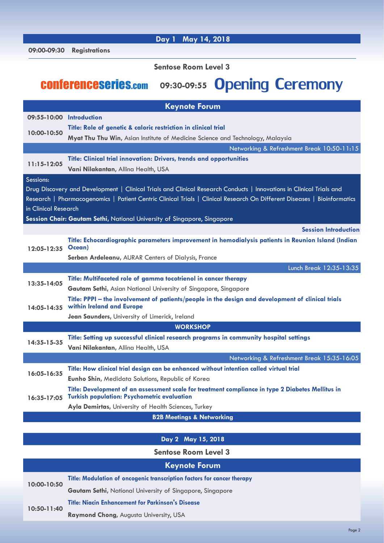| 09:00-09:30                 | <b>Registrations</b>                                                                                                                                                                                                                             |  |
|-----------------------------|--------------------------------------------------------------------------------------------------------------------------------------------------------------------------------------------------------------------------------------------------|--|
| <b>Sentose Room Level 3</b> |                                                                                                                                                                                                                                                  |  |
|                             | 09:30-09:55 Opening Ceremony<br><b>CONFETENCESETIES.com</b>                                                                                                                                                                                      |  |
| <b>Keynote Forum</b>        |                                                                                                                                                                                                                                                  |  |
| 09:55-10:00 Introduction    |                                                                                                                                                                                                                                                  |  |
| 10:00-10:50                 | Title: Role of genetic & caloric restriction in clinical trial<br><b>Myat Thu Thu Win, Asian Institute of Medicine Science and Technology, Malaysia</b>                                                                                          |  |
|                             | Networking & Refreshment Break 10:50-11:15                                                                                                                                                                                                       |  |
| $11:15-12:05$               | Title: Clinical trial innovation: Drivers, trends and opportunities<br>Vani Nilakantan, Allina Health, USA                                                                                                                                       |  |
| Sessions:                   |                                                                                                                                                                                                                                                  |  |
|                             | Drug Discovery and Development   Clinical Trials and Clinical Research Conducts   Innovations in Clinical Trials and<br>Research   Pharmacogenomics   Patient Centric Clinical Trials   Clinical Research On Different Diseases   Bioinformatics |  |
| in Clinical Research        |                                                                                                                                                                                                                                                  |  |
|                             | Session Chair: Gautam Sethi, National University of Singapore, Singapore                                                                                                                                                                         |  |
|                             | <b>Session Introduction</b>                                                                                                                                                                                                                      |  |
| $12:05 - 12:35$             | Title: Echocardiographic parameters improvement in hemodialysis patients in Reunion Island (Indian<br>Ocean)                                                                                                                                     |  |
|                             | Serban Ardeleanu, AURAR Centers of Dialysis, France                                                                                                                                                                                              |  |
|                             | Lunch Break 12:35-13:35                                                                                                                                                                                                                          |  |
| 13:35-14:05                 | Title: Multifaceted role of gamma tocotrienol in cancer therapy                                                                                                                                                                                  |  |
|                             | <b>Gautam Sethi, Asian National University of Singapore, Singapore</b>                                                                                                                                                                           |  |
| 14:05-14:35                 | Title: PPPI – the involvement of patients/people in the design and development of clinical trials<br>within Ireland and Europe                                                                                                                   |  |
|                             | Jean Saunders, University of Limerick, Ireland                                                                                                                                                                                                   |  |
| <b>WORKSHOP</b>             |                                                                                                                                                                                                                                                  |  |
| 14:35-15-35                 | Title: Setting up successful clinical research programs in community hospital settings<br>Vani Nilakantan, Allina Health, USA                                                                                                                    |  |
|                             | Networking & Refreshment Break 15:35-16:05                                                                                                                                                                                                       |  |
|                             | Title: How clinical trial design can be enhanced without intention called virtual trial                                                                                                                                                          |  |
| 16:05-16:35                 | Eunho Shin, Medidata Solutions, Republic of Korea                                                                                                                                                                                                |  |
| 16:35-17:05                 | Title: Development of an assessment scale for treatment compliance in type 2 Diabetes Mellitus in<br><b>Turkish population: Psychometric evaluation</b>                                                                                          |  |
|                             | Ayla Demirtas, University of Health Sciences, Turkey                                                                                                                                                                                             |  |
|                             | <b>B2B Meetings &amp; Networking</b>                                                                                                                                                                                                             |  |
|                             |                                                                                                                                                                                                                                                  |  |

 **Day 1 May 14, 2018**

## **Day 2 May 15, 2018**

**Sentose Room Level 3**

## **Keynote Forum**

| 10:00-10:50 | Title: Modulation of oncogenic transcription factors for cancer therapy |
|-------------|-------------------------------------------------------------------------|
|             | <b>Gautam Sethi, National University of Singapore, Singapore</b>        |
| 10:50-11:40 | <b>Title: Niacin Enhancement for Parkinson's Disease</b>                |
|             | <b>Raymond Chong, Augusta University, USA</b>                           |